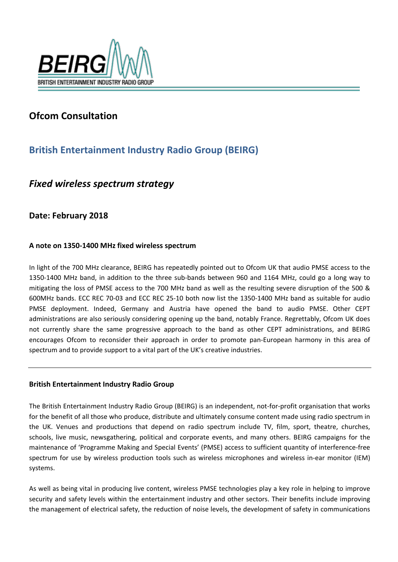

## **Ofcom Consultation**

# **British Entertainment Industry Radio Group (BEIRG)**

## *Fixed wireless spectrum strategy*

### **Date: February 2018**

### **A note on 1350-1400 MHz fixed wireless spectrum**

In light of the 700 MHz clearance, BEIRG has repeatedly pointed out to Ofcom UK that audio PMSE access to the 1350-1400 MHz band, in addition to the three sub-bands between 960 and 1164 MHz, could go a long way to mitigating the loss of PMSE access to the 700 MHz band as well as the resulting severe disruption of the 500 & 600MHz bands. ECC REC 70-03 and ECC REC 25-10 both now list the 1350-1400 MHz band as suitable for audio PMSE deployment. Indeed, Germany and Austria have opened the band to audio PMSE. Other CEPT administrations are also seriously considering opening up the band, notably France. Regrettably, Ofcom UK does not currently share the same progressive approach to the band as other CEPT administrations, and BEIRG encourages Ofcom to reconsider their approach in order to promote pan-European harmony in this area of spectrum and to provide support to a vital part of the UK's creative industries.

#### **British Entertainment Industry Radio Group**

The British Entertainment Industry Radio Group (BEIRG) is an independent, not-for-profit organisation that works for the benefit of all those who produce, distribute and ultimately consume content made using radio spectrum in the UK. Venues and productions that depend on radio spectrum include TV, film, sport, theatre, churches, schools, live music, newsgathering, political and corporate events, and many others. BEIRG campaigns for the maintenance of 'Programme Making and Special Events' (PMSE) access to sufficient quantity of interference-free spectrum for use by wireless production tools such as wireless microphones and wireless in-ear monitor (IEM) systems.

As well as being vital in producing live content, wireless PMSE technologies play a key role in helping to improve security and safety levels within the entertainment industry and other sectors. Their benefits include improving the management of electrical safety, the reduction of noise levels, the development of safety in communications